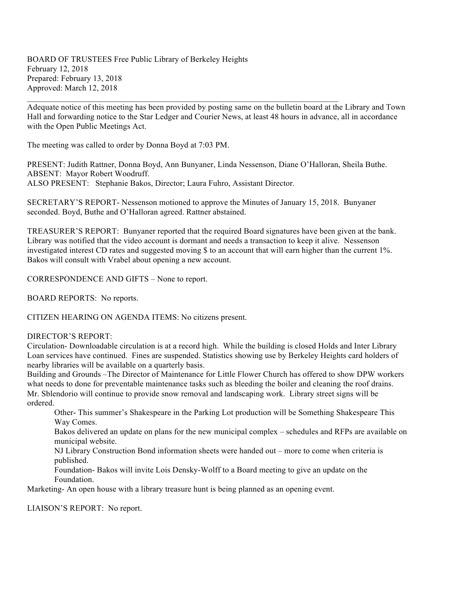BOARD OF TRUSTEES Free Public Library of Berkeley Heights February 12, 2018 Prepared: February 13, 2018 Approved: March 12, 2018

Adequate notice of this meeting has been provided by posting same on the bulletin board at the Library and Town Hall and forwarding notice to the Star Ledger and Courier News, at least 48 hours in advance, all in accordance with the Open Public Meetings Act.

 $\mathcal{L}_\text{max} = \mathcal{L}_\text{max} = \mathcal{L}_\text{max} = \mathcal{L}_\text{max} = \mathcal{L}_\text{max} = \mathcal{L}_\text{max} = \mathcal{L}_\text{max} = \mathcal{L}_\text{max} = \mathcal{L}_\text{max} = \mathcal{L}_\text{max} = \mathcal{L}_\text{max} = \mathcal{L}_\text{max} = \mathcal{L}_\text{max} = \mathcal{L}_\text{max} = \mathcal{L}_\text{max} = \mathcal{L}_\text{max} = \mathcal{L}_\text{max} = \mathcal{L}_\text{max} = \mathcal{$ 

The meeting was called to order by Donna Boyd at 7:03 PM.

PRESENT: Judith Rattner, Donna Boyd, Ann Bunyaner, Linda Nessenson, Diane O'Halloran, Sheila Buthe. ABSENT: Mayor Robert Woodruff. ALSO PRESENT: Stephanie Bakos, Director; Laura Fuhro, Assistant Director.

SECRETARY'S REPORT- Nessenson motioned to approve the Minutes of January 15, 2018. Bunyaner seconded. Boyd, Buthe and O'Halloran agreed. Rattner abstained.

TREASURER'S REPORT: Bunyaner reported that the required Board signatures have been given at the bank. Library was notified that the video account is dormant and needs a transaction to keep it alive. Nessenson investigated interest CD rates and suggested moving \$ to an account that will earn higher than the current 1%. Bakos will consult with Vrabel about opening a new account.

CORRESPONDENCE AND GIFTS – None to report.

BOARD REPORTS: No reports.

CITIZEN HEARING ON AGENDA ITEMS: No citizens present.

DIRECTOR'S REPORT:

Circulation- Downloadable circulation is at a record high. While the building is closed Holds and Inter Library Loan services have continued. Fines are suspended. Statistics showing use by Berkeley Heights card holders of nearby libraries will be available on a quarterly basis.

Building and Grounds –The Director of Maintenance for Little Flower Church has offered to show DPW workers what needs to done for preventable maintenance tasks such as bleeding the boiler and cleaning the roof drains. Mr. Sblendorio will continue to provide snow removal and landscaping work. Library street signs will be ordered.

Other- This summer's Shakespeare in the Parking Lot production will be Something Shakespeare This Way Comes.

Bakos delivered an update on plans for the new municipal complex – schedules and RFPs are available on municipal website.

NJ Library Construction Bond information sheets were handed out – more to come when criteria is published.

Foundation- Bakos will invite Lois Densky-Wolff to a Board meeting to give an update on the Foundation.

Marketing- An open house with a library treasure hunt is being planned as an opening event.

LIAISON'S REPORT: No report.